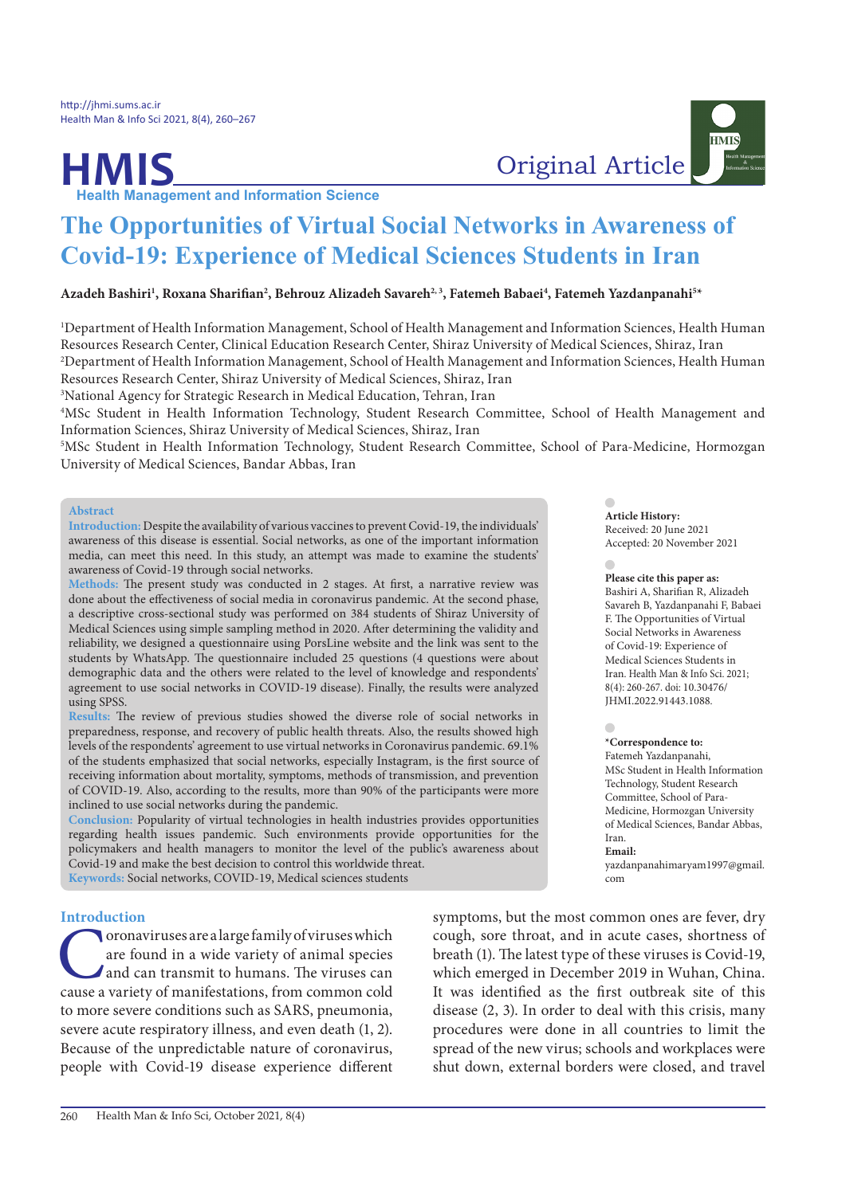# **HMIS**<br> **Health Management and Information Science**

**HMIS** 

# **The Opportunities of Virtual Social Networks in Awareness of Covid-19: Experience of Medical Sciences Students in Iran**

## **Azadeh Bashiri1 , Roxana Sharifian2 , Behrouz Alizadeh Savareh2, 3, Fatemeh Babaei4 , Fatemeh Yazdanpanahi5 \***

1 Department of Health Information Management, School of Health Management and Information Sciences, Health Human Resources Research Center, Clinical Education Research Center, Shiraz University of Medical Sciences, Shiraz, Iran 2 Department of Health Information Management, School of Health Management and Information Sciences, Health Human Resources Research Center, Shiraz University of Medical Sciences, Shiraz, Iran

3 National Agency for Strategic Research in Medical Education, Tehran, Iran

4 MSc Student in Health Information Technology, Student Research Committee, School of Health Management and Information Sciences, Shiraz University of Medical Sciences, Shiraz, Iran

5 MSc Student in Health Information Technology, Student Research Committee, School of Para-Medicine, Hormozgan University of Medical Sciences, Bandar Abbas, Iran

#### **Abstract**

**Introduction:** Despite the availability of various vaccines to prevent Covid-19, the individuals' awareness of this disease is essential. Social networks, as one of the important information media, can meet this need. In this study, an attempt was made to examine the students' awareness of Covid-19 through social networks.

**Methods:** The present study was conducted in 2 stages. At first, a narrative review was done about the effectiveness of social media in coronavirus pandemic. At the second phase, a descriptive cross-sectional study was performed on 384 students of Shiraz University of Medical Sciences using simple sampling method in 2020. After determining the validity and reliability, we designed a questionnaire using PorsLine website and the link was sent to the students by WhatsApp. The questionnaire included 25 questions (4 questions were about demographic data and the others were related to the level of knowledge and respondents' agreement to use social networks in COVID-19 disease). Finally, the results were analyzed using SPSS.

**Results:** The review of previous studies showed the diverse role of social networks in preparedness, response, and recovery of public health threats. Also, the results showed high levels of the respondents' agreement to use virtual networks in Coronavirus pandemic. 69.1% of the students emphasized that social networks, especially Instagram, is the first source of receiving information about mortality, symptoms, methods of transmission, and prevention of COVID-19. Also, according to the results, more than 90% of the participants were more inclined to use social networks during the pandemic.

**Conclusion:** Popularity of virtual technologies in health industries provides opportunities regarding health issues pandemic. Such environments provide opportunities for the policymakers and health managers to monitor the level of the public's awareness about Covid-19 and make the best decision to control this worldwide threat. **Keywords:** Social networks, COVID-19, Medical sciences students

#### **Introduction**

Coronaviruses are a large family of viruses which are found in a wide variety of animal species and can transmit to humans. The viruses can cause a variety of manifestations, from common cold to more severe conditions such as SARS, pneumonia, severe acute respiratory illness, and even death (1, 2). Because of the unpredictable nature of coronavirus, people with Covid-19 disease experience different **Please cite this paper as:** Bashiri A, Sharifian R, Alizadeh Savareh B, Yazdanpanahi F, Babaei

**Article History:** Received: 20 June 2021 Accepted: 20 November 2021

F. The Opportunities of Virtual Social Networks in Awareness of Covid-19: Experience of Medical Sciences Students in Iran. Health Man & Info Sci. 2021; 8(4): 260-267. doi: 10.30476/ JHMI.2022.91443.1088.

**\*Correspondence to:**  Fatemeh Yazdanpanahi, MSc Student in Health Information Technology, Student Research Committee, School of Para-Medicine, Hormozgan University of Medical Sciences, Bandar Abbas, Iran. **Email:** 

yazdanpanahimaryam1997@gmail. com

symptoms, but the most common ones are fever, dry cough, sore throat, and in acute cases, shortness of breath (1). The latest type of these viruses is Covid-19, which emerged in December 2019 in Wuhan, China. It was identified as the first outbreak site of this disease (2, 3). In order to deal with this crisis, many procedures were done in all countries to limit the spread of the new virus; schools and workplaces were shut down, external borders were closed, and travel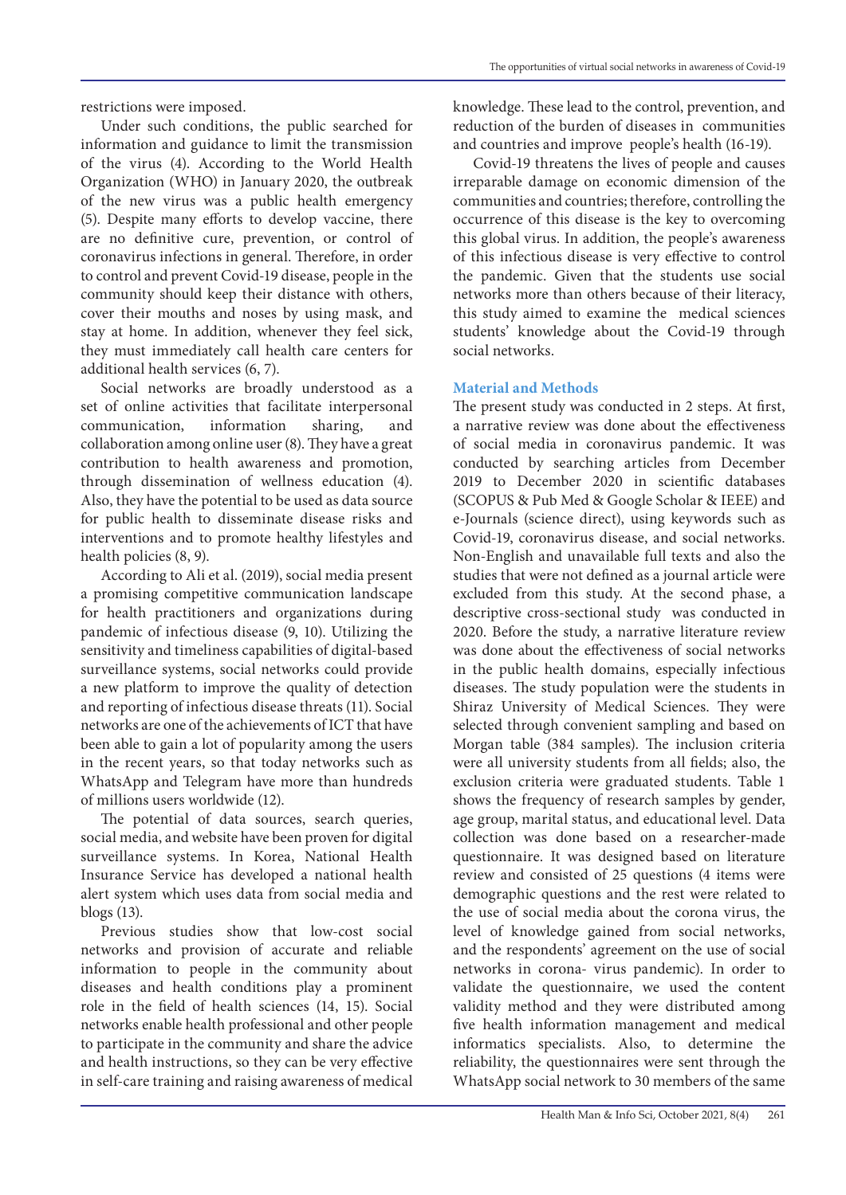restrictions were imposed.

Under such conditions, the public searched for information and guidance to limit the transmission of the virus (4). According to the World Health Organization (WHO) in January 2020, the outbreak of the new virus was a public health emergency (5). Despite many efforts to develop vaccine, there are no definitive cure, prevention, or control of coronavirus infections in general. Therefore, in order to control and prevent Covid-19 disease, people in the community should keep their distance with others, cover their mouths and noses by using mask, and stay at home. In addition, whenever they feel sick, they must immediately call health care centers for additional health services (6, 7).

Social networks are broadly understood as a set of online activities that facilitate interpersonal communication, information sharing, and collaboration among online user (8). They have a great contribution to health awareness and promotion, through dissemination of wellness education (4). Also, they have the potential to be used as data source for public health to disseminate disease risks and interventions and to promote healthy lifestyles and health policies (8, 9).

According to Ali et al. (2019), social media present a promising competitive communication landscape for health practitioners and organizations during pandemic of infectious disease (9, 10). Utilizing the sensitivity and timeliness capabilities of digital-based surveillance systems, social networks could provide a new platform to improve the quality of detection and reporting of infectious disease threats (11). Social networks are one of the achievements of ICT that have been able to gain a lot of popularity among the users in the recent years, so that today networks such as WhatsApp and Telegram have more than hundreds of millions users worldwide (12).

The potential of data sources, search queries, social media, and website have been proven for digital surveillance systems. In Korea, National Health Insurance Service has developed a national health alert system which uses data from social media and blogs (13).

Previous studies show that low-cost social networks and provision of accurate and reliable information to people in the community about diseases and health conditions play a prominent role in the field of health sciences (14, 15). Social networks enable health professional and other people to participate in the community and share the advice and health instructions, so they can be very effective in self-care training and raising awareness of medical

knowledge. These lead to the control, prevention, and reduction of the burden of diseases in communities and countries and improve people's health (16-19).

Covid-19 threatens the lives of people and causes irreparable damage on economic dimension of the communities and countries; therefore, controlling the occurrence of this disease is the key to overcoming this global virus. In addition, the people's awareness of this infectious disease is very effective to control the pandemic. Given that the students use social networks more than others because of their literacy, this study aimed to examine the medical sciences students' knowledge about the Covid-19 through social networks.

### **Material and Methods**

The present study was conducted in 2 steps. At first, a narrative review was done about the effectiveness of social media in coronavirus pandemic. It was conducted by searching articles from December 2019 to December 2020 in scientific databases (SCOPUS & Pub Med & Google Scholar & IEEE) and e-Journals (science direct), using keywords such as Covid-19, coronavirus disease, and social networks. Non-English and unavailable full texts and also the studies that were not defined as a journal article were excluded from this study. At the second phase, a descriptive cross-sectional study was conducted in 2020. Before the study, a narrative literature review was done about the effectiveness of social networks in the public health domains, especially infectious diseases. The study population were the students in Shiraz University of Medical Sciences. They were selected through convenient sampling and based on Morgan table (384 samples). The inclusion criteria were all university students from all fields; also, the exclusion criteria were graduated students. Table 1 shows the frequency of research samples by gender, age group, marital status, and educational level. Data collection was done based on a researcher-made questionnaire. It was designed based on literature review and consisted of 25 questions (4 items were demographic questions and the rest were related to the use of social media about the corona virus, the level of knowledge gained from social networks, and the respondents' agreement on the use of social networks in corona- virus pandemic). In order to validate the questionnaire, we used the content validity method and they were distributed among five health information management and medical informatics specialists. Also, to determine the reliability, the questionnaires were sent through the WhatsApp social network to 30 members of the same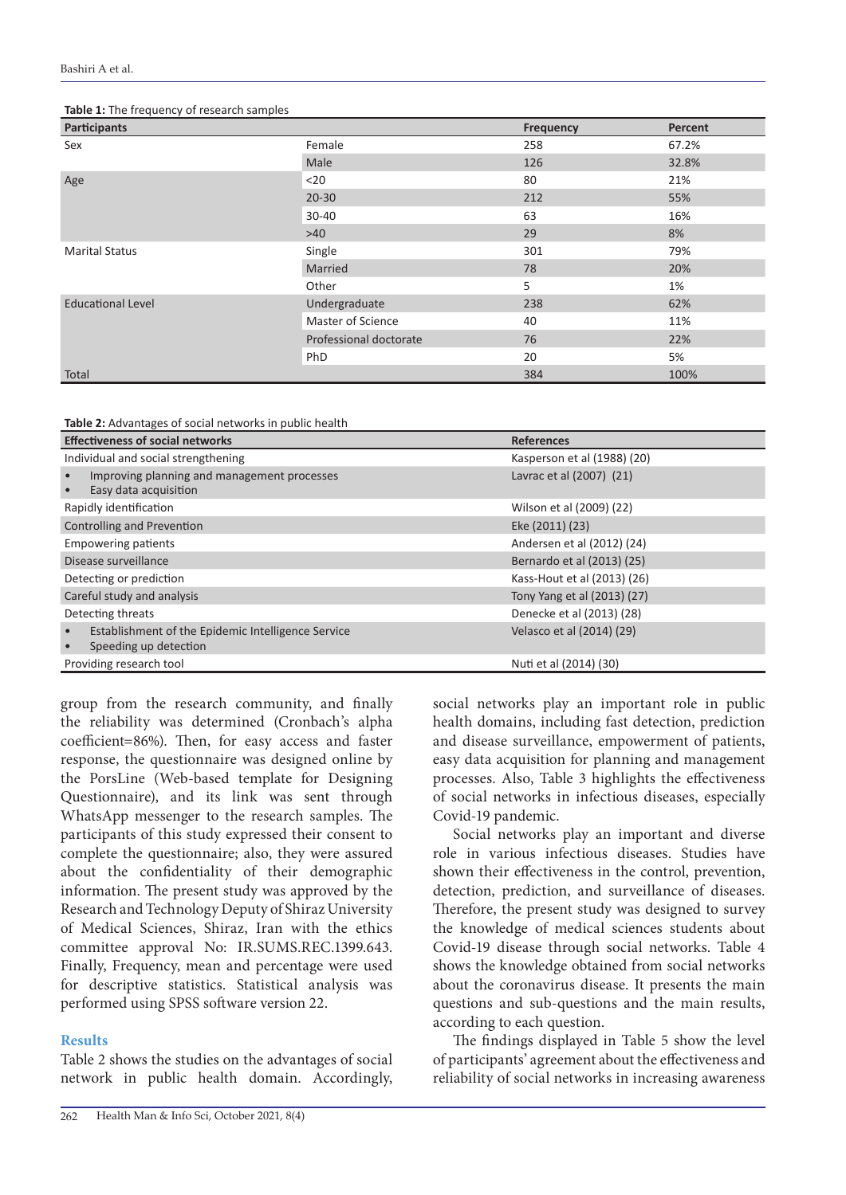| and a series of the series of the first series of the series of the series of the series of the series of the<br><b>Participants</b> |                        | <b>Frequency</b> | Percent |
|--------------------------------------------------------------------------------------------------------------------------------------|------------------------|------------------|---------|
| Sex                                                                                                                                  | Female                 | 258              | 67.2%   |
|                                                                                                                                      | Male                   | 126              | 32.8%   |
| Age                                                                                                                                  | $20$                   | 80               | 21%     |
|                                                                                                                                      | $20 - 30$              | 212              | 55%     |
|                                                                                                                                      | 30-40                  | 63               | 16%     |
|                                                                                                                                      | >40                    | 29               | 8%      |
| <b>Marital Status</b>                                                                                                                | Single                 | 301              | 79%     |
|                                                                                                                                      | Married                | 78               | 20%     |
|                                                                                                                                      | Other                  | 5                | 1%      |
| <b>Educational Level</b>                                                                                                             | Undergraduate          | 238              | 62%     |
|                                                                                                                                      | Master of Science      | 40               | 11%     |
|                                                                                                                                      | Professional doctorate | 76               | 22%     |
|                                                                                                                                      | PhD                    | 20               | 5%      |
| Total                                                                                                                                |                        | 384              | 100%    |

#### **Table 1:** The frequency of research samples

**Table 2:** Advantages of social networks in public health

| <b>Effectiveness of social networks</b>                                     | <b>References</b>           |
|-----------------------------------------------------------------------------|-----------------------------|
| Individual and social strengthening                                         | Kasperson et al (1988) (20) |
| Improving planning and management processes<br>Easy data acquisition        | Lavrac et al (2007) (21)    |
| Rapidly identification                                                      | Wilson et al (2009) (22)    |
| Controlling and Prevention                                                  | Eke (2011) (23)             |
| <b>Empowering patients</b>                                                  | Andersen et al (2012) (24)  |
| Disease surveillance                                                        | Bernardo et al (2013) (25)  |
| Detecting or prediction                                                     | Kass-Hout et al (2013) (26) |
| Careful study and analysis                                                  | Tony Yang et al (2013) (27) |
| Detecting threats                                                           | Denecke et al (2013) (28)   |
| Establishment of the Epidemic Intelligence Service<br>Speeding up detection | Velasco et al (2014) (29)   |
| Providing research tool                                                     | Nuti et al (2014) (30)      |

group from the research community, and finally the reliability was determined (Cronbach's alpha coefficient=86%). Then, for easy access and faster response, the questionnaire was designed online by the PorsLine (Web-based template for Designing Questionnaire), and its link was sent through WhatsApp messenger to the research samples. The participants of this study expressed their consent to complete the questionnaire; also, they were assured about the confidentiality of their demographic information. The present study was approved by the Research and Technology Deputy of Shiraz University of Medical Sciences, Shiraz, Iran with the ethics committee approval No: IR.SUMS.REC.1399.643. Finally, Frequency, mean and percentage were used for descriptive statistics. Statistical analysis was performed using SPSS software version 22.

#### **Results**

Table 2 shows the studies on the advantages of social network in public health domain. Accordingly,

social networks play an important role in public health domains, including fast detection, prediction and disease surveillance, empowerment of patients, easy data acquisition for planning and management processes. Also, Table 3 highlights the effectiveness of social networks in infectious diseases, especially Covid-19 pandemic.

Social networks play an important and diverse role in various infectious diseases. Studies have shown their effectiveness in the control, prevention, detection, prediction, and surveillance of diseases. Therefore, the present study was designed to survey the knowledge of medical sciences students about Covid-19 disease through social networks. Table 4 shows the knowledge obtained from social networks about the coronavirus disease. It presents the main questions and sub-questions and the main results, according to each question.

The findings displayed in Table 5 show the level of participants' agreement about the effectiveness and reliability of social networks in increasing awareness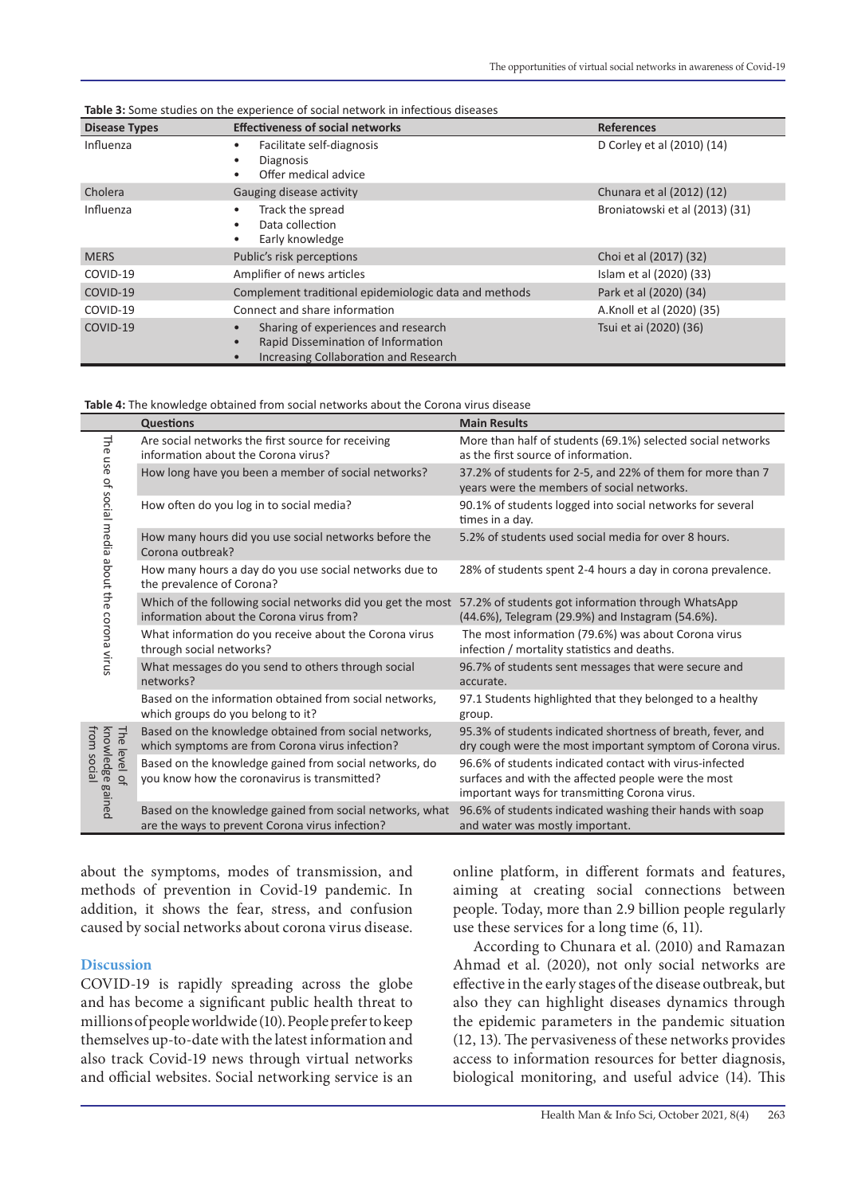| <b>Disease Types</b> | <b>Effectiveness of social networks</b>                                                                                                             | <b>References</b>              |
|----------------------|-----------------------------------------------------------------------------------------------------------------------------------------------------|--------------------------------|
| Influenza            | Facilitate self-diagnosis<br>$\bullet$<br><b>Diagnosis</b><br>$\bullet$<br>Offer medical advice<br>$\bullet$                                        | D Corley et al (2010) (14)     |
| Cholera              | Gauging disease activity                                                                                                                            | Chunara et al (2012) (12)      |
| Influenza            | Track the spread<br>Data collection<br>$\bullet$<br>Early knowledge<br>$\bullet$                                                                    | Broniatowski et al (2013) (31) |
| <b>MERS</b>          | Public's risk perceptions                                                                                                                           | Choi et al (2017) (32)         |
| COVID-19             | Amplifier of news articles                                                                                                                          | Islam et al (2020) (33)        |
| COVID-19             | Complement traditional epidemiologic data and methods                                                                                               | Park et al (2020) (34)         |
| COVID-19             | Connect and share information                                                                                                                       | A.Knoll et al (2020) (35)      |
| COVID-19             | Sharing of experiences and research<br>$\bullet$<br>Rapid Dissemination of Information<br>$\bullet$<br><b>Increasing Collaboration and Research</b> | Tsui et ai (2020) (36)         |

**Table 3:** Some studies on the experience of social network in infectious diseases

**Table 4:** The knowledge obtained from social networks about the Corona virus disease

|                                                           | <b>Questions</b>                                                                                            | <b>Main Results</b>                                                                                                                                             |
|-----------------------------------------------------------|-------------------------------------------------------------------------------------------------------------|-----------------------------------------------------------------------------------------------------------------------------------------------------------------|
| The<br>use<br>of social media about the corona virus      | Are social networks the first source for receiving<br>information about the Corona virus?                   | More than half of students (69.1%) selected social networks<br>as the first source of information.                                                              |
|                                                           | How long have you been a member of social networks?                                                         | 37.2% of students for 2-5, and 22% of them for more than 7<br>years were the members of social networks.                                                        |
|                                                           | How often do you log in to social media?                                                                    | 90.1% of students logged into social networks for several<br>times in a day.                                                                                    |
|                                                           | How many hours did you use social networks before the<br>Corona outbreak?                                   | 5.2% of students used social media for over 8 hours.                                                                                                            |
|                                                           | How many hours a day do you use social networks due to<br>the prevalence of Corona?                         | 28% of students spent 2-4 hours a day in corona prevalence.                                                                                                     |
|                                                           | Which of the following social networks did you get the most<br>information about the Corona virus from?     | 57.2% of students got information through WhatsApp<br>(44.6%), Telegram (29.9%) and Instagram (54.6%).                                                          |
|                                                           | What information do you receive about the Corona virus<br>through social networks?                          | The most information (79.6%) was about Corona virus<br>infection / mortality statistics and deaths.                                                             |
|                                                           | What messages do you send to others through social<br>networks?                                             | 96.7% of students sent messages that were secure and<br>accurate.                                                                                               |
|                                                           | Based on the information obtained from social networks,<br>which groups do you belong to it?                | 97.1 Students highlighted that they belonged to a healthy<br>group.                                                                                             |
| knowledge gained<br>from<br>The level of<br><b>ISOCIA</b> | Based on the knowledge obtained from social networks,<br>which symptoms are from Corona virus infection?    | 95.3% of students indicated shortness of breath, fever, and<br>dry cough were the most important symptom of Corona virus.                                       |
|                                                           | Based on the knowledge gained from social networks, do<br>you know how the coronavirus is transmitted?      | 96.6% of students indicated contact with virus-infected<br>surfaces and with the affected people were the most<br>important ways for transmitting Corona virus. |
|                                                           | Based on the knowledge gained from social networks, what<br>are the ways to prevent Corona virus infection? | 96.6% of students indicated washing their hands with soap<br>and water was mostly important.                                                                    |

about the symptoms, modes of transmission, and methods of prevention in Covid-19 pandemic. In addition, it shows the fear, stress, and confusion caused by social networks about corona virus disease.

#### **Discussion**

COVID-19 is rapidly spreading across the globe and has become a significant public health threat to millions of people worldwide (10). People prefer to keep themselves up-to-date with the latest information and also track Covid-19 news through virtual networks and official websites. Social networking service is an online platform, in different formats and features, aiming at creating social connections between people. Today, more than 2.9 billion people regularly use these services for a long time (6, 11).

According to Chunara et al. (2010) and Ramazan Ahmad et al. (2020), not only social networks are effective in the early stages of the disease outbreak, but also they can highlight diseases dynamics through the epidemic parameters in the pandemic situation (12, 13). The pervasiveness of these networks provides access to information resources for better diagnosis, biological monitoring, and useful advice (14). This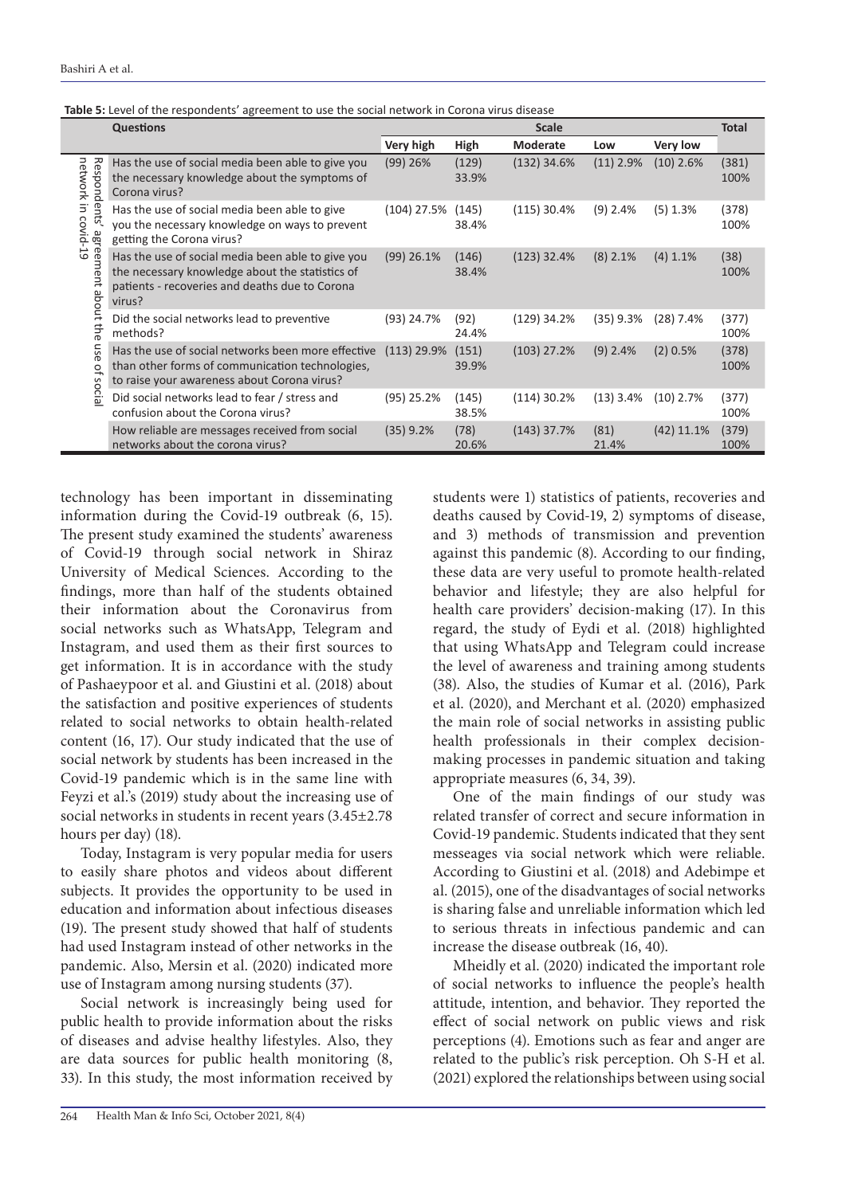|                                                                                                                   | <b>Questions</b>                                                                                                                                                 | and the responsemes agreement to assure social network in<br><b>Scale</b> |                |                 |               | <b>Total</b>    |               |
|-------------------------------------------------------------------------------------------------------------------|------------------------------------------------------------------------------------------------------------------------------------------------------------------|---------------------------------------------------------------------------|----------------|-----------------|---------------|-----------------|---------------|
|                                                                                                                   |                                                                                                                                                                  | Very high                                                                 | High           | <b>Moderate</b> | Low           | <b>Very low</b> |               |
| network<br>Responden<br>$\equiv$<br>S<br>covid-19<br>agreement about<br>the<br>use<br>$\overline{a}$<br>SO<br>cia | Has the use of social media been able to give you<br>the necessary knowledge about the symptoms of<br>Corona virus?                                              | $(99)$ 26%                                                                | (129)<br>33.9% | $(132)$ 34.6%   | $(11)$ 2.9%   | $(10)$ 2.6%     | (381)<br>100% |
|                                                                                                                   | Has the use of social media been able to give<br>you the necessary knowledge on ways to prevent<br>getting the Corona virus?                                     | $(104)$ 27.5%                                                             | (145)<br>38.4% | $(115)$ 30.4%   | $(9)$ 2.4%    | $(5)$ 1.3%      | (378)<br>100% |
|                                                                                                                   | Has the use of social media been able to give you<br>the necessary knowledge about the statistics of<br>patients - recoveries and deaths due to Corona<br>virus? | $(99)$ 26.1%                                                              | (146)<br>38.4% | $(123)$ 32.4%   | $(8)$ 2.1%    | $(4)$ 1.1%      | (38)<br>100%  |
|                                                                                                                   | Did the social networks lead to preventive<br>methods?                                                                                                           | $(93)$ 24.7%                                                              | (92)<br>24.4%  | $(129)$ 34.2%   | $(35)$ 9.3%   | $(28)$ 7.4%     | (377)<br>100% |
|                                                                                                                   | Has the use of social networks been more effective<br>than other forms of communication technologies,<br>to raise your awareness about Corona virus?             | $(113)$ 29.9%                                                             | (151)<br>39.9% | $(103)$ 27.2%   | $(9)$ 2.4%    | $(2)$ 0.5%      | (378)<br>100% |
|                                                                                                                   | Did social networks lead to fear / stress and<br>confusion about the Corona virus?                                                                               | $(95)$ 25.2%                                                              | (145)<br>38.5% | $(114)$ 30.2%   | $(13)$ 3.4%   | $(10)$ 2.7%     | (377)<br>100% |
|                                                                                                                   | How reliable are messages received from social<br>networks about the corona virus?                                                                               | $(35)$ 9.2%                                                               | (78)<br>20.6%  | $(143)$ 37.7%   | (81)<br>21.4% | $(42)$ 11.1%    | (379)<br>100% |

technology has been important in disseminating information during the Covid-19 outbreak (6, 15). The present study examined the students' awareness of Covid-19 through social network in Shiraz University of Medical Sciences. According to the findings, more than half of the students obtained their information about the Coronavirus from social networks such as WhatsApp, Telegram and Instagram, and used them as their first sources to get information. It is in accordance with the study of Pashaeypoor et al. and Giustini et al. (2018) about the satisfaction and positive experiences of students related to social networks to obtain health-related content (16, 17). Our study indicated that the use of social network by students has been increased in the Covid-19 pandemic which is in the same line with Feyzi et al.'s (2019) study about the increasing use of social networks in students in recent years (3.45±2.78 hours per day) (18).

Today, Instagram is very popular media for users to easily share photos and videos about different subjects. It provides the opportunity to be used in education and information about infectious diseases (19). The present study showed that half of students had used Instagram instead of other networks in the pandemic. Also, Mersin et al. (2020) indicated more use of Instagram among nursing students (37).

Social network is increasingly being used for public health to provide information about the risks of diseases and advise healthy lifestyles. Also, they are data sources for public health monitoring (8, 33). In this study, the most information received by

students were 1) statistics of patients, recoveries and deaths caused by Covid-19, 2) symptoms of disease, and 3) methods of transmission and prevention against this pandemic (8). According to our finding, these data are very useful to promote health-related behavior and lifestyle; they are also helpful for health care providers' decision-making (17). In this regard, the study of Eydi et al. (2018) highlighted that using WhatsApp and Telegram could increase the level of awareness and training among students (38). Also, the studies of Kumar et al. (2016), Park et al. (2020), and Merchant et al. (2020) emphasized the main role of social networks in assisting public health professionals in their complex decisionmaking processes in pandemic situation and taking appropriate measures (6, 34, 39).

One of the main findings of our study was related transfer of correct and secure information in Covid-19 pandemic. Students indicated that they sent messeages via social network which were reliable. According to Giustini et al. (2018) and Adebimpe et al. (2015), one of the disadvantages of social networks is sharing false and unreliable information which led to serious threats in infectious pandemic and can increase the disease outbreak (16, 40).

Mheidly et al. (2020) indicated the important role of social networks to influence the people's health attitude, intention, and behavior. They reported the effect of social network on public views and risk perceptions (4). Emotions such as fear and anger are related to the public's risk perception. Oh S-H et al. (2021) explored the relationships between using social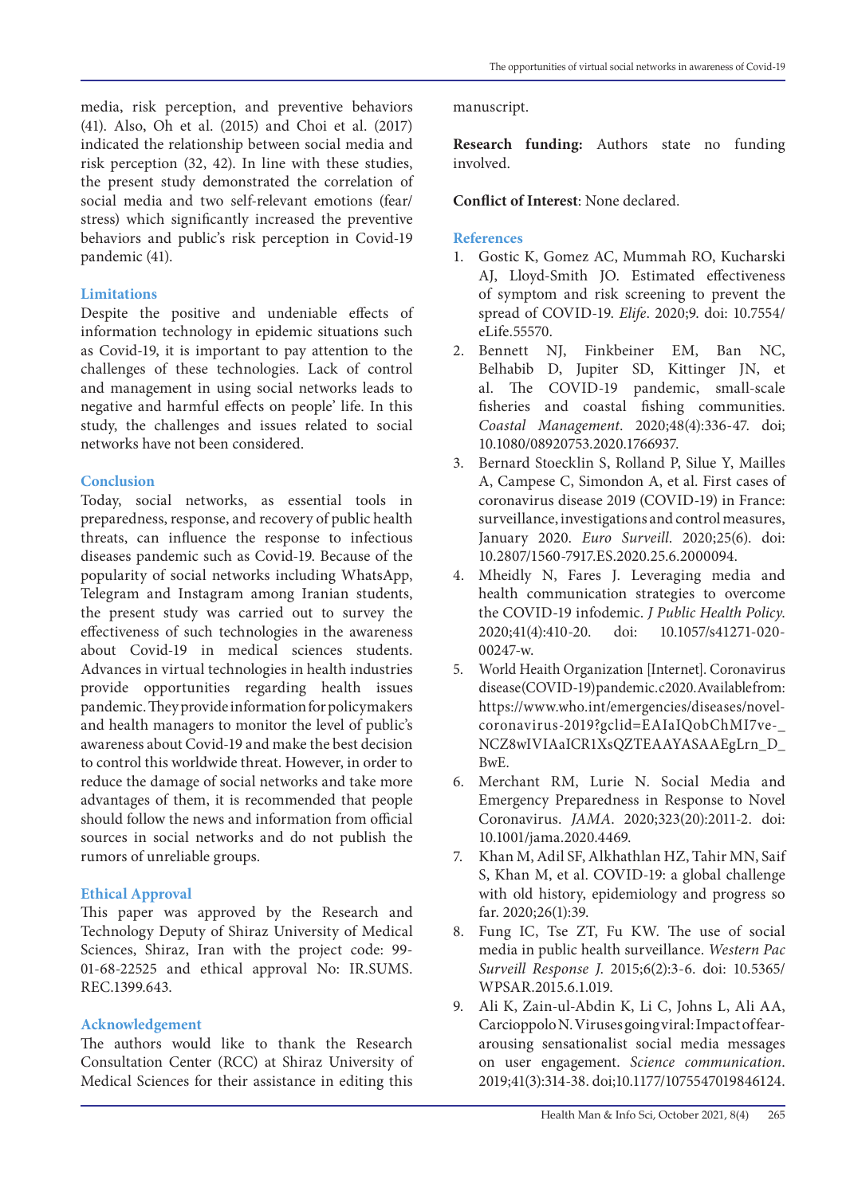media, risk perception, and preventive behaviors (41). Also, Oh et al. (2015) and Choi et al. (2017) indicated the relationship between social media and risk perception (32, 42). In line with these studies, the present study demonstrated the correlation of social media and two self-relevant emotions (fear/ stress) which significantly increased the preventive behaviors and public's risk perception in Covid-19 pandemic (41).

#### **Limitations**

Despite the positive and undeniable effects of information technology in epidemic situations such as Covid-19, it is important to pay attention to the challenges of these technologies. Lack of control and management in using social networks leads to negative and harmful effects on people' life. In this study, the challenges and issues related to social networks have not been considered.

#### **Conclusion**

Today, social networks, as essential tools in preparedness, response, and recovery of public health threats, can influence the response to infectious diseases pandemic such as Covid-19. Because of the popularity of social networks including WhatsApp, Telegram and Instagram among Iranian students, the present study was carried out to survey the effectiveness of such technologies in the awareness about Covid-19 in medical sciences students. Advances in virtual technologies in health industries provide opportunities regarding health issues pandemic. They provide information for policymakers and health managers to monitor the level of public's awareness about Covid-19 and make the best decision to control this worldwide threat. However, in order to reduce the damage of social networks and take more advantages of them, it is recommended that people should follow the news and information from official sources in social networks and do not publish the rumors of unreliable groups.

### **Ethical Approval**

This paper was approved by the Research and Technology Deputy of Shiraz University of Medical Sciences, Shiraz, Iran with the project code: 99- 01-68-22525 and ethical approval No: IR.SUMS. REC.1399.643.

### **Acknowledgement**

The authors would like to thank the Research Consultation Center (RCC) at Shiraz University of Medical Sciences for their assistance in editing this

#### manuscript.

**Research funding:** Authors state no funding involved.

#### **Conflict of Interest**: None declared.

#### **References**

- 1. Gostic K, Gomez AC, Mummah RO, Kucharski AJ, Lloyd-Smith JO. Estimated effectiveness of symptom and risk screening to prevent the spread of COVID-19. *Elife*. 2020;9. doi: 10.7554/ eLife.55570.
- 2. Bennett NJ, Finkbeiner EM, Ban NC, Belhabib D, Jupiter SD, Kittinger JN, et al. The COVID-19 pandemic, small-scale fisheries and coastal fishing communities. *Coastal Management*. 2020;48(4):336-47. doi; [10.1080/08920753.2020.1766937](https://doi.org/10.1080/08920753.2020.1766937).
- 3. Bernard Stoecklin S, Rolland P, Silue Y, Mailles A, Campese C, Simondon A, et al. First cases of coronavirus disease 2019 (COVID-19) in France: surveillance, investigations and control measures, January 2020. *Euro Surveill*. 2020;25(6). doi: 10.2807/1560-7917.ES.2020.25.6.2000094.
- 4. Mheidly N, Fares J. Leveraging media and health communication strategies to overcome the COVID-19 infodemic. *J Public Health Policy*. 2020;41(4):410-20. doi: 10.1057/s41271-020- 00247-w.
- 5. World Heaith Organization [Internet]. Coronavirus disease (COVID-19) pandemic. c2020. Available from: https://www.who.int/emergencies/diseases/novelcoronavirus-2019?gclid=EAIaIQobChMI7ve-\_ NCZ8wIVIAaICR1XsQZTEAAYASAAEgLrn\_D\_ BwE.
- 6. Merchant RM, Lurie N. Social Media and Emergency Preparedness in Response to Novel Coronavirus. *JAMA*. 2020;323(20):2011-2. doi: 10.1001/jama.2020.4469.
- 7. Khan M, Adil SF, Alkhathlan HZ, Tahir MN, Saif S, Khan M, et al. COVID-19: a global challenge with old history, epidemiology and progress so far. 2020;26(1):39.
- 8. Fung IC, Tse ZT, Fu KW. The use of social media in public health surveillance. *Western Pac Surveill Response J*. 2015;6(2):3-6. doi: 10.5365/ WPSAR.2015.6.1.019.
- 9. Ali K, Zain-ul-Abdin K, Li C, Johns L, Ali AA, Carcioppolo N. Viruses going viral: Impact of feararousing sensationalist social media messages on user engagement. *Science communication*. 2019;41(3):314-38. doi[;10.1177/1075547019846124](https://doi.org/10.1177/1075547019846124).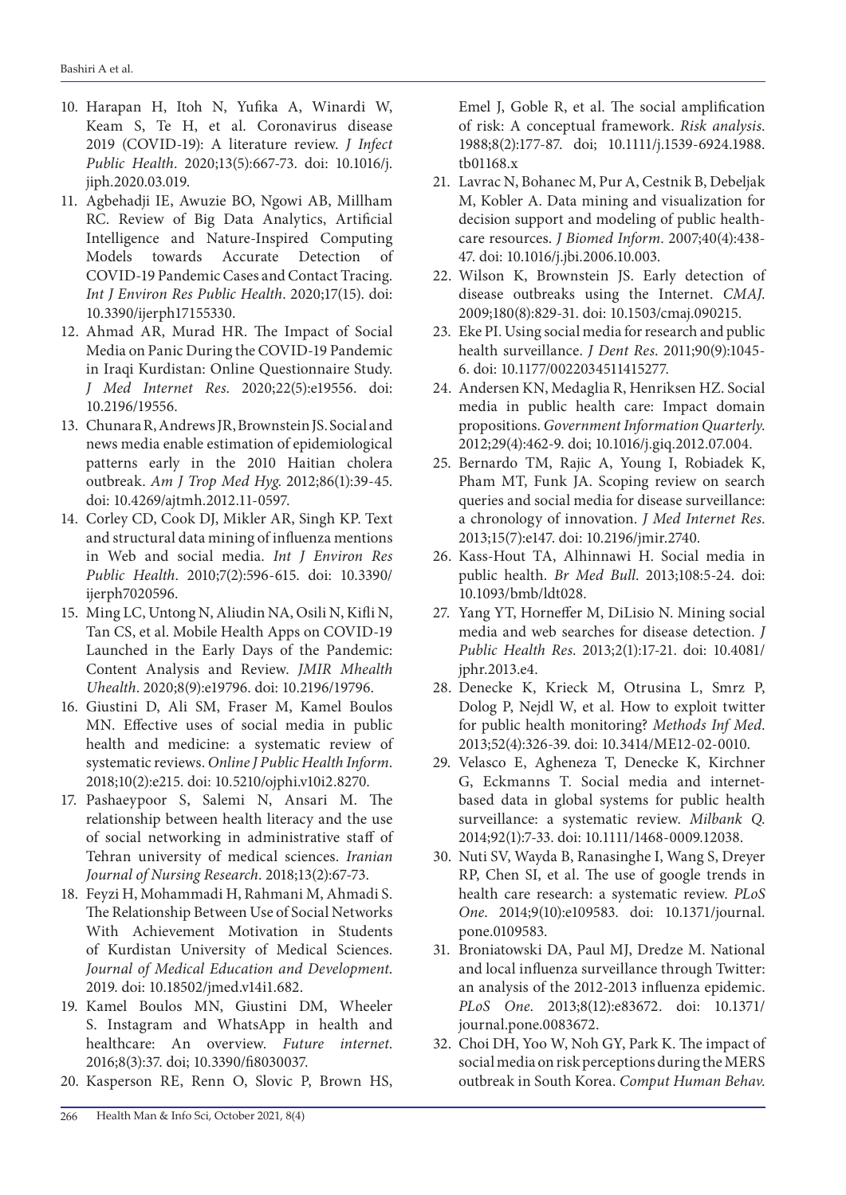- 10. Harapan H, Itoh N, Yufika A, Winardi W, Keam S, Te H, et al. Coronavirus disease 2019 (COVID-19): A literature review. *J Infect Public Health*. 2020;13(5):667-73. doi: 10.1016/j. jiph.2020.03.019.
- 11. Agbehadji IE, Awuzie BO, Ngowi AB, Millham RC. Review of Big Data Analytics, Artificial Intelligence and Nature-Inspired Computing Models towards Accurate Detection of COVID-19 Pandemic Cases and Contact Tracing. *Int J Environ Res Public Health*. 2020;17(15). doi: 10.3390/ijerph17155330.
- 12. Ahmad AR, Murad HR. The Impact of Social Media on Panic During the COVID-19 Pandemic in Iraqi Kurdistan: Online Questionnaire Study. *J Med Internet Res*. 2020;22(5):e19556. doi: 10.2196/19556.
- 13. Chunara R, Andrews JR, Brownstein JS. Social and news media enable estimation of epidemiological patterns early in the 2010 Haitian cholera outbreak. *Am J Trop Med Hyg*. 2012;86(1):39-45. doi: 10.4269/ajtmh.2012.11-0597.
- 14. Corley CD, Cook DJ, Mikler AR, Singh KP. Text and structural data mining of influenza mentions in Web and social media. *Int J Environ Res Public Health*. 2010;7(2):596-615. doi: 10.3390/ ijerph7020596.
- 15. Ming LC, Untong N, Aliudin NA, Osili N, Kifli N, Tan CS, et al. Mobile Health Apps on COVID-19 Launched in the Early Days of the Pandemic: Content Analysis and Review. *JMIR Mhealth Uhealth*. 2020;8(9):e19796. doi: 10.2196/19796.
- 16. Giustini D, Ali SM, Fraser M, Kamel Boulos MN. Effective uses of social media in public health and medicine: a systematic review of systematic reviews. *Online J Public Health Inform*. 2018;10(2):e215. doi: 10.5210/ojphi.v10i2.8270.
- 17. Pashaeypoor S, Salemi N, Ansari M. The relationship between health literacy and the use of social networking in administrative staff of Tehran university of medical sciences. *Iranian Journal of Nursing Research*. 2018;13(2):67-73.
- 18. Feyzi H, Mohammadi H, Rahmani M, Ahmadi S. The Relationship Between Use of Social Networks With Achievement Motivation in Students of Kurdistan University of Medical Sciences. *Journal of Medical Education and Development*. 2019. doi: [10.18502/jmed.v14i1.682.](https://doi.org/10.18502/jmed.v14i1.682)
- 19. Kamel Boulos MN, Giustini DM, Wheeler S. Instagram and WhatsApp in health and healthcare: An overview. *Future internet*. 2016;8(3):37. doi; [10.3390/fi8030037.](https://doi.org/10.3390/fi8030037)
- 20. Kasperson RE, Renn O, Slovic P, Brown HS,

Emel J, Goble R, et al. The social amplification of risk: A conceptual framework. *Risk analysis*. 1988;8(2):177-87. doi; [10.1111/j.1539-6924.1988.](https://doi.org/10.1111/j.1539-6924.1988.tb01168.x) [tb01168.x](https://doi.org/10.1111/j.1539-6924.1988.tb01168.x)

- 21. Lavrac N, Bohanec M, Pur A, Cestnik B, Debeljak M, Kobler A. Data mining and visualization for decision support and modeling of public healthcare resources. *J Biomed Inform*. 2007;40(4):438- 47. doi: 10.1016/j.jbi.2006.10.003.
- 22. Wilson K, Brownstein JS. Early detection of disease outbreaks using the Internet. *CMAJ*. 2009;180(8):829-31. doi: 10.1503/cmaj.090215.
- 23. Eke PI. Using social media for research and public health surveillance. *J Dent Res*. 2011;90(9):1045- 6. doi: 10.1177/0022034511415277.
- 24. Andersen KN, Medaglia R, Henriksen HZ. Social media in public health care: Impact domain propositions. *Government Information Quarterly*. 2012;29(4):462-9. doi; [10.1016/j.giq.2012.07.004](https://doi.org/10.1016/j.giq.2012.07.004).
- 25. Bernardo TM, Rajic A, Young I, Robiadek K, Pham MT, Funk JA. Scoping review on search queries and social media for disease surveillance: a chronology of innovation. *J Med Internet Res*. 2013;15(7):e147. doi: 10.2196/jmir.2740.
- 26. Kass-Hout TA, Alhinnawi H. Social media in public health. *Br Med Bull*. 2013;108:5-24. doi: 10.1093/bmb/ldt028.
- 27. Yang YT, Horneffer M, DiLisio N. Mining social media and web searches for disease detection. *J Public Health Res*. 2013;2(1):17-21. doi: 10.4081/ jphr.2013.e4.
- 28. Denecke K, Krieck M, Otrusina L, Smrz P, Dolog P, Nejdl W, et al. How to exploit twitter for public health monitoring? *Methods Inf Med*. 2013;52(4):326-39. doi: 10.3414/ME12-02-0010.
- 29. Velasco E, Agheneza T, Denecke K, Kirchner G, Eckmanns T. Social media and internetbased data in global systems for public health surveillance: a systematic review. *Milbank Q*. 2014;92(1):7-33. doi: 10.1111/1468-0009.12038.
- 30. Nuti SV, Wayda B, Ranasinghe I, Wang S, Dreyer RP, Chen SI, et al. The use of google trends in health care research: a systematic review. *PLoS One*. 2014;9(10):e109583. doi: 10.1371/journal. pone.0109583.
- 31. Broniatowski DA, Paul MJ, Dredze M. National and local influenza surveillance through Twitter: an analysis of the 2012-2013 influenza epidemic. *PLoS One*. 2013;8(12):e83672. doi: 10.1371/ journal.pone.0083672.
- 32. Choi DH, Yoo W, Noh GY, Park K. The impact of social media on risk perceptions during the MERS outbreak in South Korea. *Comput Human Behav*.